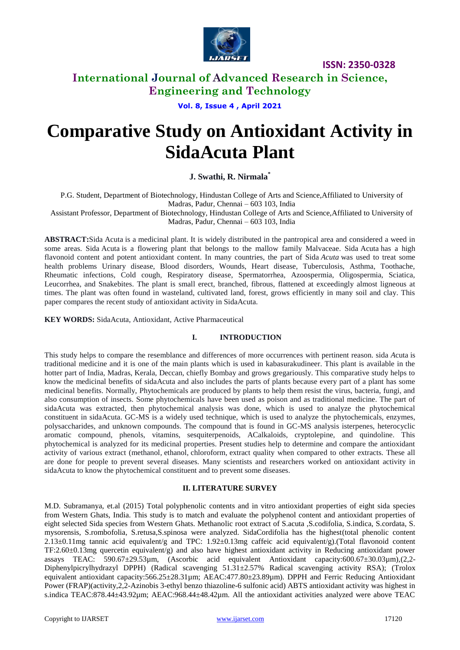

**ISSN: 2350-0328**

## **International Journal of Advanced Research in Science, Engineering and Technology**

**Vol. 8, Issue 4 , April 2021**

# **Comparative Study on Antioxidant Activity in SidaAcuta Plant**

**J. Swathi, R. Nirmala\***

P.G. Student, Department of Biotechnology, Hindustan College of Arts and Science,Affiliated to University of Madras, Padur, Chennai – 603 103, India

Assistant Professor, Department of Biotechnology, Hindustan College of Arts and Science,Affiliated to University of Madras, Padur, Chennai – 603 103, India

**ABSTRACT:**Sida Acuta is a medicinal plant. It is widely distributed in the pantropical area and considered a weed in some areas. Sida Acuta is a flowering plant that belongs to the mallow family Malvaceae. Sida Acuta has a high flavonoid content and potent antioxidant content. In many countries, the part of Sida *Acuta* was used to treat some health problems Urinary disease, Blood disorders, Wounds, Heart disease, Tuberculosis, Asthma, Toothache, Rheumatic infections, Cold cough, Respiratory disease, Spermatorrhea, Azoospermia, Oligospermia, Sciatica, Leucorrhea, and Snakebites. The plant is small erect, branched, fibrous, flattened at exceedingly almost ligneous at times. The plant was often found in wasteland, cultivated land, forest, grows efficiently in many soil and clay. This paper compares the recent study of antioxidant activity in SidaAcuta.

**KEY WORDS:** SidaAcuta, Antioxidant, Active Pharmaceutical

### **I. INTRODUCTION**

This study helps to compare the resemblance and differences of more occurrences with pertinent reason. sida *A*cuta is traditional medicine and it is one of the main plants which is used in kabasurakudineer. This plant is available in the hotter part of India, Madras, Kerala, Deccan, chiefly Bombay and grows gregariously. This comparative study helps to know the medicinal benefits of sidaAcuta and also includes the parts of plants because every part of a plant has some medicinal benefits. Normally, Phytochemicals are produced by plants to help them resist the virus, bacteria, fungi, and also consumption of insects. Some phytochemicals have been used as poison and as traditional medicine. The part of sidaAcuta was extracted, then phytochemical analysis was done, which is used to analyze the phytochemical constituent in sidaAcuta. GC-MS is a widely used technique, which is used to analyze the phytochemicals, enzymes, polysaccharides, and unknown compounds. The compound that is found in GC-MS analysis isterpenes, heterocyclic aromatic compound, phenols, vitamins, sesquiterpenoids, ACalkaloids, cryptolepine, and quindoline. This phytochemical is analyzed for its medicinal properties. Present studies help to determine and compare the antioxidant activity of various extract (methanol*,* ethanol*,* chloroform*,* extract quality when compared to other extracts. These all are done for people to prevent several diseases. Many scientists and researchers worked on antioxidant activity in sidaAcuta to know the phytochemical constituent and to prevent some diseases.

#### **II. LITERATURE SURVEY**

M.D. Subramanya, et.al (2015) Total polyphenolic contents and in vitro antioxidant properties of eight sida species from Western Ghats, India. This study is to match and evaluate the polyphenol content and antioxidant properties of eight selected Sida species from Western Ghats. Methanolic root extract of S.acuta ,S.codifolia, S.indica, S.cordata, S. mysorensis, S.rombofolia, S.retusa,S.spinosa were analyzed. SidaCordifolia has the highest(total phenolic content 2.13±0.11mg tannic acid equivalent/g and TPC: 1.92±0.13mg caffeic acid equivalent/g).(Total flavonoid content TF:2.60±0.13mg quercetin equivalent/g) and also have highest antioxidant activity in Reducing antioxidant power assays TEAC: 590.67±29.53µm, (Ascorbic acid equivalent Antioxidant capacity:600.67±30.03µm),(2,2- Diphenylpicrylhydrazyl DPPH) (Radical scavenging 51.31±2.57% Radical scavenging activity RSA); (Trolox equivalent antioxidant capacity:566.25±28.31µm; AEAC:477.80±23.89µm). DPPH and Ferric Reducing Antioxidant Power (FRAP)(activity,2,2-Azinobis 3-ethyl benzo thiazoline-6 sulfonic acid) ABTS antioxidant activity was highest in s.indica TEAC:878.44±43.92µm; AEAC:968.44±48.42µm. All the antioxidant activities analyzed were above TEAC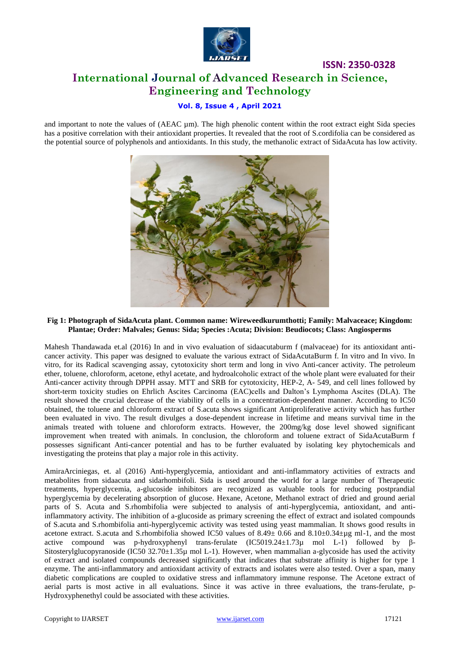

# **ISSN: 2350-0328 International Journal of Advanced Research in Science, Engineering and Technology**

## **Vol. 8, Issue 4 , April 2021**

and important to note the values of (AEAC µm). The high phenolic content within the root extract eight Sida species has a positive correlation with their antioxidant properties. It revealed that the root of S.cordifolia can be considered as the potential source of polyphenols and antioxidants. In this study, the methanolic extract of SidaAcuta has low activity.



#### **Fig 1: Photograph of SidaAcuta plant. Common name: Wireweedkurumthotti; Family: Malvaceace; Kingdom: Plantae; Order: Malvales; Genus: Sida; Species :Acuta; Division: Beudiocots; Class: Angiosperms**

Mahesh Thandawada et.al (2016) In and in vivo evaluation of sidaacutaburm f (malvaceae) for its antioxidant anticancer activity. This paper was designed to evaluate the various extract of SidaAcutaBurm f. In vitro and In vivo. In vitro, for its Radical scavenging assay, cytotoxicity short term and long in vivo Anti-cancer activity. The petroleum ether, toluene, chloroform, acetone, ethyl acetate, and hydroalcoholic extract of the whole plant were evaluated for their Anti-cancer activity through DPPH assay. MTT and SRB for cytotoxicity, HEP-2, A- 549, and cell lines followed by short-term toxicity studies on Ehrlich Ascites Carcinoma (EAC)cells and Dalton's Lymphoma Ascites (DLA). The result showed the crucial decrease of the viability of cells in a concentration-dependent manner. According to IC50 obtained, the toluene and chloroform extract of S.acuta shows significant Antiproliferative activity which has further been evaluated in vivo. The result divulges a dose-dependent increase in lifetime and means survival time in the animals treated with toluene and chloroform extracts. However, the 200mg/kg dose level showed significant improvement when treated with animals. In conclusion, the chloroform and toluene extract of SidaAcutaBurm f possesses significant Anti-cancer potential and has to be further evaluated by isolating key phytochemicals and investigating the proteins that play a major role in this activity.

AmiraArciniegas, et. al (2016) Anti-hyperglycemia, antioxidant and anti-inflammatory activities of extracts and metabolites from sidaacuta and sidarhombifoli. Sida is used around the world for a large number of Therapeutic treatments, hyperglycemia, a-glucoside inhibitors are recognized as valuable tools for reducing postprandial hyperglycemia by decelerating absorption of glucose. Hexane, Acetone, Methanol extract of dried and ground aerial parts of S. Acuta and S.rhombifolia were subjected to analysis of anti-hyperglycemia, antioxidant, and antiinflammatory activity. The inhibition of a-glucoside as primary screening the effect of extract and isolated compounds of S.acuta and S.rhombifolia anti-hyperglycemic activity was tested using yeast mammalian. It shows good results in acetone extract. S.acuta and S.rhombifolia showed IC50 values of  $8.49 \pm 0.66$  and  $8.10 \pm 0.34 \pm \mu g$  ml-1, and the most active compound was p-hydroxyphenyl trans-ferulate (IC5019.24±1.73µ mol L-1) followed by β-Sitosterylglucopyranoside (IC50 32.70 $\pm$ 1.35µ mol L-1). However, when mammalian a-glycoside has used the activity of extract and isolated compounds decreased significantly that indicates that substrate affinity is higher for type 1 enzyme. The anti-inflammatory and antioxidant activity of extracts and isolates were also tested. Over a span, many diabetic complications are coupled to oxidative stress and inflammatory immune response. The Acetone extract of aerial parts is most active in all evaluations. Since it was active in three evaluations, the trans-ferulate, p-Hydroxyphenethyl could be associated with these activities.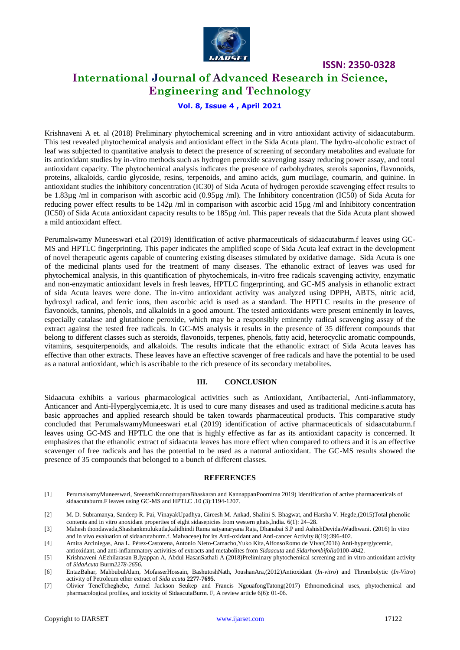

**ISSN: 2350-0328**

## **International Journal of Advanced Research in Science, Engineering and Technology**

**Vol. 8, Issue 4 , April 2021**

Krishnaveni A et. al (2018) Preliminary phytochemical screening and in vitro antioxidant activity of sidaacutaburm. This test revealed phytochemical analysis and antioxidant effect in the Sida Acuta plant. The hydro-alcoholic extract of leaf was subjected to quantitative analysis to detect the presence of screening of secondary metabolites and evaluate for its antioxidant studies by in-vitro methods such as hydrogen peroxide scavenging assay reducing power assay, and total antioxidant capacity. The phytochemical analysis indicates the presence of carbohydrates, sterols saponins, flavonoids, proteins, alkaloids, cardio glycoside, resins, terpenoids, and amino acids, gum mucilage, coumarin, and quinine. In antioxidant studies the inhibitory concentration (IC30) of Sida Acuta of hydrogen peroxide scavenging effect results to be 1.83µg /ml in comparison with ascorbic acid (0.95µg /ml). The Inhibitory concentration (IC50) of Sida Acuta for reducing power effect results to be 142µ /ml in comparison with ascorbic acid 15µg /ml and Inhibitory concentration (IC50) of Sida Acuta antioxidant capacity results to be 185µg /ml. This paper reveals that the Sida Acuta plant showed a mild antioxidant effect.

Perumalswamy Muneeswari et.al (2019) Identification of active pharmaceuticals of sidaacutaburm.f leaves using GC-MS and HPTLC fingerprinting. This paper indicates the amplified scope of Sida Acuta leaf extract in the development of novel therapeutic agents capable of countering existing diseases stimulated by oxidative damage. Sida Acuta is one of the medicinal plants used for the treatment of many diseases. The ethanolic extract of leaves was used for phytochemical analysis, in this quantification of phytochemicals, in-vitro free radicals scavenging activity, enzymatic and non-enzymatic antioxidant levels in fresh leaves, HPTLC fingerprinting, and GC-MS analysis in ethanolic extract of sida Acuta leaves were done. The in-vitro antioxidant activity was analyzed using DPPH, ABTS, nitric acid, hydroxyl radical, and ferric ions, then ascorbic acid is used as a standard. The HPTLC results in the presence of flavonoids, tannins, phenols, and alkaloids in a good amount. The tested antioxidants were present eminently in leaves, especially catalase and glutathione peroxide, which may be a responsibly eminently radical scavenging assay of the extract against the tested free radicals. In GC-MS analysis it results in the presence of 35 different compounds that belong to different classes such as steroids, flavonoids, terpenes, phenols, fatty acid, heterocyclic aromatic compounds, vitamins, sesquiterpenoids, and alkaloids. The results indicate that the ethanolic extract of Sida Acuta leaves has effective than other extracts. These leaves have an effective scavenger of free radicals and have the potential to be used as a natural antioxidant, which is ascribable to the rich presence of its secondary metabolites.

#### **III. CONCLUSION**

Sidaacuta exhibits a various pharmacological activities such as Antioxidant, Antibacterial, Anti-inflammatory, Anticancer and Anti-Hyperglycemia,etc. It is used to cure many diseases and used as traditional medicine.s.acuta has basic approaches and applied research should be taken towards pharmaceutical products. This comparative study concluded that PerumalswamyMuneeswari et.al (2019) identification of active pharmaceuticals of sidaacutaburm.f leaves using GC-MS and HPTLC the one that is highly effective as far as its antioxidant capacity is concerned. It emphasizes that the ethanolic extract of sidaacuta leaves has more effect when compared to others and it is an effective scavenger of free radicals and has the potential to be used as a natural antioxidant. The GC-MS results showed the presence of 35 compounds that belonged to a bunch of different classes.

#### **REFERENCES**

- [1] PerumalsamyMuneeswari, SreenathKunnathuparaBhaskaran and KannappanPoornima 2019) Identification of active pharmaceuticals of sidaacutaburm.F leaves using GC-MS and HPTLC .10 (3):1194-1207.
- [2] [M. D. Subramanya,](https://www.ncbi.nlm.nih.gov/pubmed/?term=Subramanya%20MD%5BAuthor%5D&cauthor=true&cauthor_uid=25878460) [Sandeep R. Pai,](https://www.ncbi.nlm.nih.gov/pubmed/?term=Pai%20SR%5BAuthor%5D&cauthor=true&cauthor_uid=25878460) [VinayakUpadhya,](https://www.ncbi.nlm.nih.gov/pubmed/?term=Upadhya%20V%5BAuthor%5D&cauthor=true&cauthor_uid=25878460) [Gireesh M. Ankad,](https://www.ncbi.nlm.nih.gov/pubmed/?term=Ankad%20GM%5BAuthor%5D&cauthor=true&cauthor_uid=25878460) [Shalini S. Bhagwat,](https://www.ncbi.nlm.nih.gov/pubmed/?term=Bhagwat%20SS%5BAuthor%5D&cauthor=true&cauthor_uid=25878460) and [Harsha V. Hegde,](https://www.ncbi.nlm.nih.gov/pubmed/?term=Hegde%20HV%5BAuthor%5D&cauthor=true&cauthor_uid=25878460)(2015)Total phenolic contents and in vitro anoxidant properties of eight sidasepicies from western ghats,India. 6(1): 24–28.

[3] Mahesh thondawada,Shashankmulukutla,kalidhindi Rama satyanaryana Raja, Dhanabai S.P and AshishDevidasWadhwani. (2016) In vitro and in vivo evaluation of sidaacutaburm.f. Malvaceae) for its Anti-oxidant and Anti-cancer Activity 8(19):396-402.

[4] Amira Arciniegas, Ana L. Pérez-Castorena, Antonio Nieto-Camacho,Yuko Kita,AlfonsoRomo de Vivar(2016) Anti-hyperglycemic,

antioxidant, and anti-inflammatory activities of extracts and metabolites from *Sidaacuta* and *Sidarhombifolia*0100-4042.

[5] Krishnaveni AEzhilarasan B,Iyappan A, Abdul HasanSathali A (2018)Preliminary phytochemical screening and in vitro antioxidant activity of *SidaAcuta* Burm*2278-2656.*

[6] EntazBahar, MahbubulAlam, MofasserHossain, BashutoshNath, JoushanAra,(2012)Antioxidant (*In-vitro*) and Thrombolytic (*In-Vitro*) activity of Petroleum ether extract of *Sida acuta* **2277-7695.**

[7] Olivier TeneTcheghebe, Armel Jackson Seukep and Francis NgouafongTatong(2017) Ethnomedicinal uses, phytochemical and pharmacological profiles, and toxicity of SidaacutaBurm. F, A review article 6(6): 01-06.